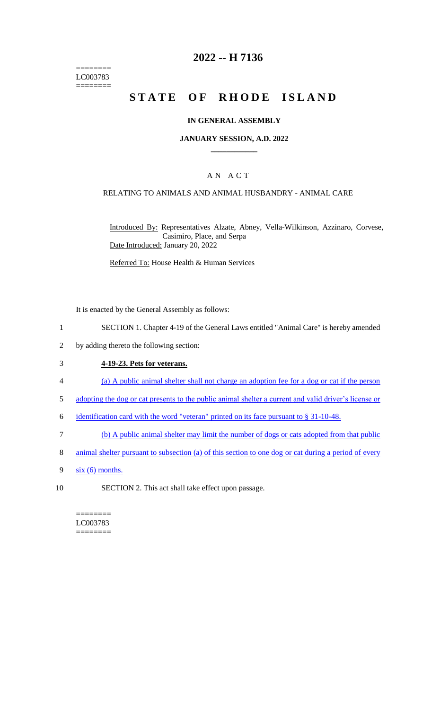======== LC003783 ========

## **2022 -- H 7136**

# **STATE OF RHODE ISLAND**

#### **IN GENERAL ASSEMBLY**

#### **JANUARY SESSION, A.D. 2022 \_\_\_\_\_\_\_\_\_\_\_\_**

#### A N A C T

#### RELATING TO ANIMALS AND ANIMAL HUSBANDRY - ANIMAL CARE

Introduced By: Representatives Alzate, Abney, Vella-Wilkinson, Azzinaro, Corvese, Casimiro, Place, and Serpa Date Introduced: January 20, 2022

Referred To: House Health & Human Services

It is enacted by the General Assembly as follows:

- 1 SECTION 1. Chapter 4-19 of the General Laws entitled "Animal Care" is hereby amended
- 2 by adding thereto the following section:

#### 3 **4-19-23. Pets for veterans.**

- 4 (a) A public animal shelter shall not charge an adoption fee for a dog or cat if the person
- 5 adopting the dog or cat presents to the public animal shelter a current and valid driver's license or
- 6 identification card with the word "veteran" printed on its face pursuant to § 31-10-48.
- 7 (b) A public animal shelter may limit the number of dogs or cats adopted from that public
- 8 animal shelter pursuant to subsection (a) of this section to one dog or cat during a period of every
- $9 \frac{\text{s} \times (6)}{\text{ months}}$ .
- 10 SECTION 2. This act shall take effect upon passage.

======== LC003783 ========